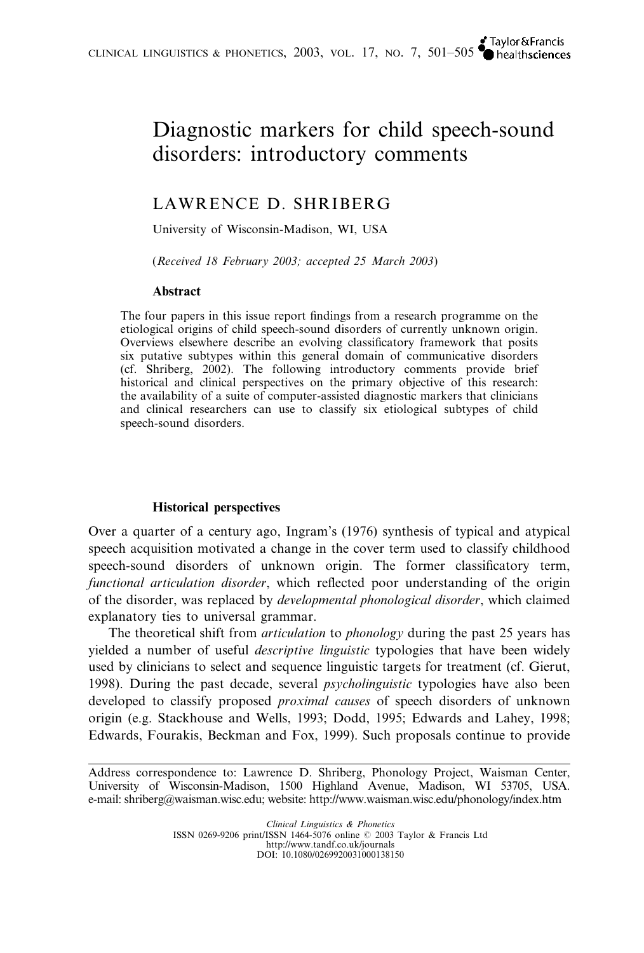# Diagnostic markers for child speech-sound disorders: introductory comments

# LAWRENCE D. SHRIBERG

University of Wisconsin-Madison, WI, USA

(Received 18 February 2003; accepted 25 March 2003)

## Abstract

The four papers in this issue report findings from a research programme on the etiological origins of child speech-sound disorders of currently unknown origin. Overviews elsewhere describe an evolving classificatory framework that posits six putative subtypes within this general domain of communicative disorders (cf. Shriberg, 2002). The following introductory comments provide brief historical and clinical perspectives on the primary objective of this research: the availability of a suite of computer-assisted diagnostic markers that clinicians and clinical researchers can use to classify six etiological subtypes of child speech-sound disorders.

# Historical perspectives

Over a quarter of a century ago, Ingram's (1976) synthesis of typical and atypical speech acquisition motivated a change in the cover term used to classify childhood speech-sound disorders of unknown origin. The former classificatory term, functional articulation disorder, which reflected poor understanding of the origin of the disorder, was replaced by developmental phonological disorder, which claimed explanatory ties to universal grammar.

The theoretical shift from *articulation* to *phonology* during the past 25 years has yielded a number of useful descriptive linguistic typologies that have been widely used by clinicians to select and sequence linguistic targets for treatment (cf. Gierut, 1998). During the past decade, several *psycholinguistic* typologies have also been developed to classify proposed *proximal causes* of speech disorders of unknown origin (e.g. Stackhouse and Wells, 1993; Dodd, 1995; Edwards and Lahey, 1998; Edwards, Fourakis, Beckman and Fox, 1999). Such proposals continue to provide

Address correspondence to: Lawrence D. Shriberg, Phonology Project, Waisman Center, University of Wisconsin-Madison, 1500 Highland Avenue, Madison, WI 53705, USA. e-mail: shriberg@waisman.wisc.edu; website: http://www.waisman.wisc.edu/phonology/index.htm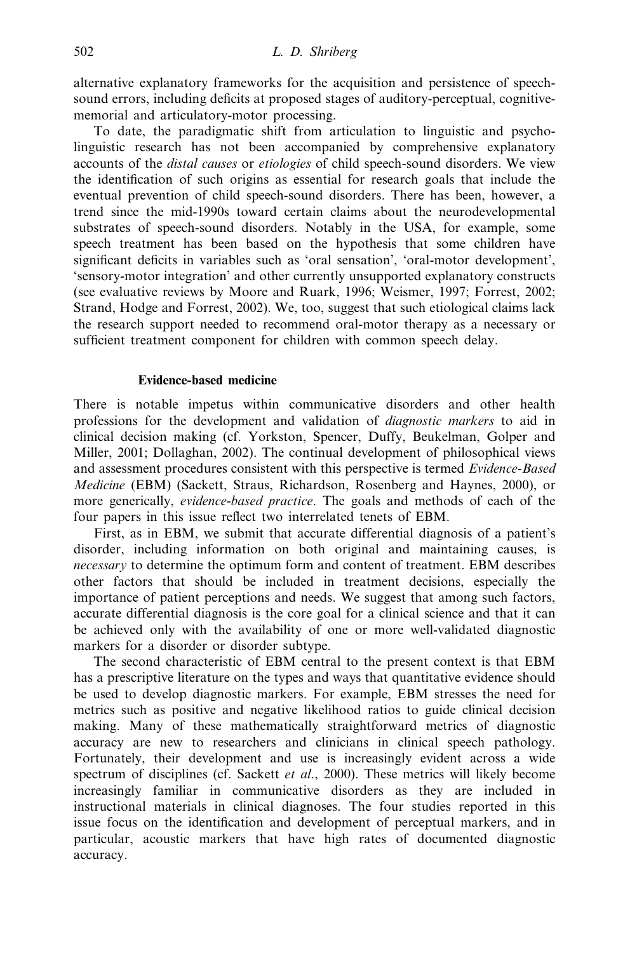alternative explanatory frameworks for the acquisition and persistence of speechsound errors, including deficits at proposed stages of auditory-perceptual, cognitivememorial and articulatory-motor processing.

To date, the paradigmatic shift from articulation to linguistic and psycholinguistic research has not been accompanied by comprehensive explanatory accounts of the distal causes or etiologies of child speech-sound disorders. We view the identification of such origins as essential for research goals that include the eventual prevention of child speech-sound disorders. There has been, however, a trend since the mid-1990s toward certain claims about the neurodevelopmental substrates of speech-sound disorders. Notably in the USA, for example, some speech treatment has been based on the hypothesis that some children have significant deficits in variables such as 'oral sensation', 'oral-motor development', 'sensory-motor integration' and other currently unsupported explanatory constructs (see evaluative reviews by Moore and Ruark, 1996; Weismer, 1997; Forrest, 2002; Strand, Hodge and Forrest, 2002). We, too, suggest that such etiological claims lack the research support needed to recommend oral-motor therapy as a necessary or sufficient treatment component for children with common speech delay.

#### Evidence-based medicine

There is notable impetus within communicative disorders and other health professions for the development and validation of diagnostic markers to aid in clinical decision making (cf. Yorkston, Spencer, Duffy, Beukelman, Golper and Miller, 2001; Dollaghan, 2002). The continual development of philosophical views and assessment procedures consistent with this perspective is termed Evidence-Based Medicine (EBM) (Sackett, Straus, Richardson, Rosenberg and Haynes, 2000), or more generically, evidence-based practice. The goals and methods of each of the four papers in this issue reflect two interrelated tenets of EBM.

First, as in EBM, we submit that accurate differential diagnosis of a patient's disorder, including information on both original and maintaining causes, is necessary to determine the optimum form and content of treatment. EBM describes other factors that should be included in treatment decisions, especially the importance of patient perceptions and needs. We suggest that among such factors, accurate differential diagnosis is the core goal for a clinical science and that it can be achieved only with the availability of one or more well-validated diagnostic markers for a disorder or disorder subtype.

The second characteristic of EBM central to the present context is that EBM has a prescriptive literature on the types and ways that quantitative evidence should be used to develop diagnostic markers. For example, EBM stresses the need for metrics such as positive and negative likelihood ratios to guide clinical decision making. Many of these mathematically straightforward metrics of diagnostic accuracy are new to researchers and clinicians in clinical speech pathology. Fortunately, their development and use is increasingly evident across a wide spectrum of disciplines (cf. Sackett et al., 2000). These metrics will likely become increasingly familiar in communicative disorders as they are included in instructional materials in clinical diagnoses. The four studies reported in this issue focus on the identification and development of perceptual markers, and in particular, acoustic markers that have high rates of documented diagnostic accuracy.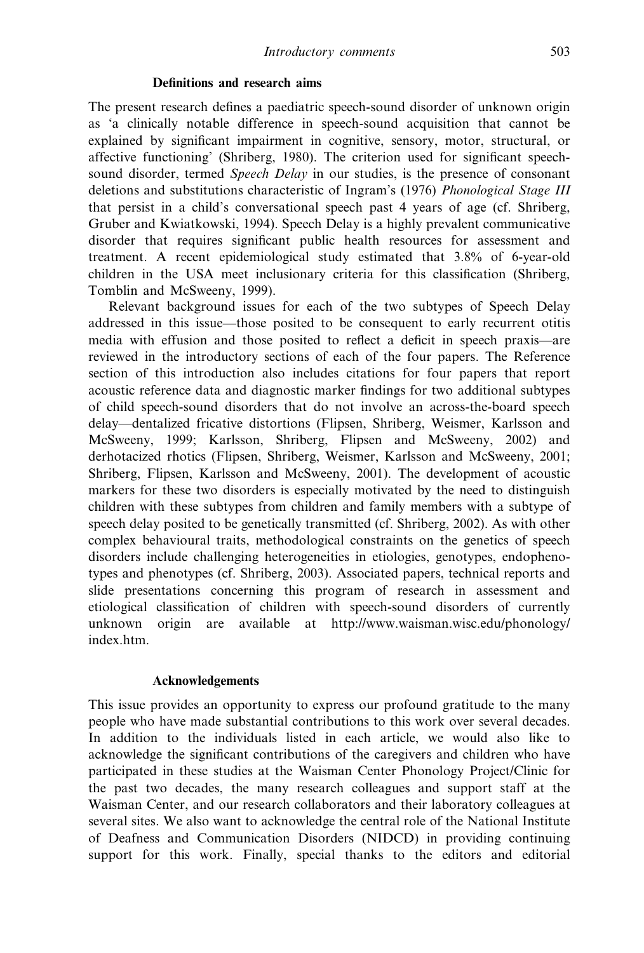#### Definitions and research aims

The present research defines a paediatric speech-sound disorder of unknown origin as 'a clinically notable difference in speech-sound acquisition that cannot be explained by significant impairment in cognitive, sensory, motor, structural, or affective functioning' (Shriberg, 1980). The criterion used for significant speechsound disorder, termed *Speech Delay* in our studies, is the presence of consonant deletions and substitutions characteristic of Ingram's (1976) Phonological Stage III that persist in a child's conversational speech past 4 years of age (cf. Shriberg, Gruber and Kwiatkowski, 1994). Speech Delay is a highly prevalent communicative disorder that requires significant public health resources for assessment and treatment. A recent epidemiological study estimated that 3.8*%* of 6-year-old children in the USA meet inclusionary criteria for this classification (Shriberg, Tomblin and McSweeny, 1999).

Relevant background issues for each of the two subtypes of Speech Delay addressed in this issue—those posited to be consequent to early recurrent otitis media with effusion and those posited to reflect a deficit in speech praxis—are reviewed in the introductory sections of each of the four papers. The Reference section of this introduction also includes citations for four papers that report acoustic reference data and diagnostic marker findings for two additional subtypes of child speech-sound disorders that do not involve an across-the-board speech delay—dentalized fricative distortions (Flipsen, Shriberg, Weismer, Karlsson and McSweeny, 1999; Karlsson, Shriberg, Flipsen and McSweeny, 2002) and derhotacized rhotics (Flipsen, Shriberg, Weismer, Karlsson and McSweeny, 2001; Shriberg, Flipsen, Karlsson and McSweeny, 2001). The development of acoustic markers for these two disorders is especially motivated by the need to distinguish children with these subtypes from children and family members with a subtype of speech delay posited to be genetically transmitted (cf. Shriberg, 2002). As with other complex behavioural traits, methodological constraints on the genetics of speech disorders include challenging heterogeneities in etiologies, genotypes, endophenotypes and phenotypes (cf. Shriberg, 2003). Associated papers, technical reports and slide presentations concerning this program of research in assessment and etiological classification of children with speech-sound disorders of currently unknown origin are available at http://www.waisman.wisc.edu/phonology/ index.htm.

### Acknowledgements

This issue provides an opportunity to express our profound gratitude to the many people who have made substantial contributions to this work over several decades. In addition to the individuals listed in each article, we would also like to acknowledge the significant contributions of the caregivers and children who have participated in these studies at the Waisman Center Phonology Project/Clinic for the past two decades, the many research colleagues and support staff at the Waisman Center, and our research collaborators and their laboratory colleagues at several sites. We also want to acknowledge the central role of the National Institute of Deafness and Communication Disorders (NIDCD) in providing continuing support for this work. Finally, special thanks to the editors and editorial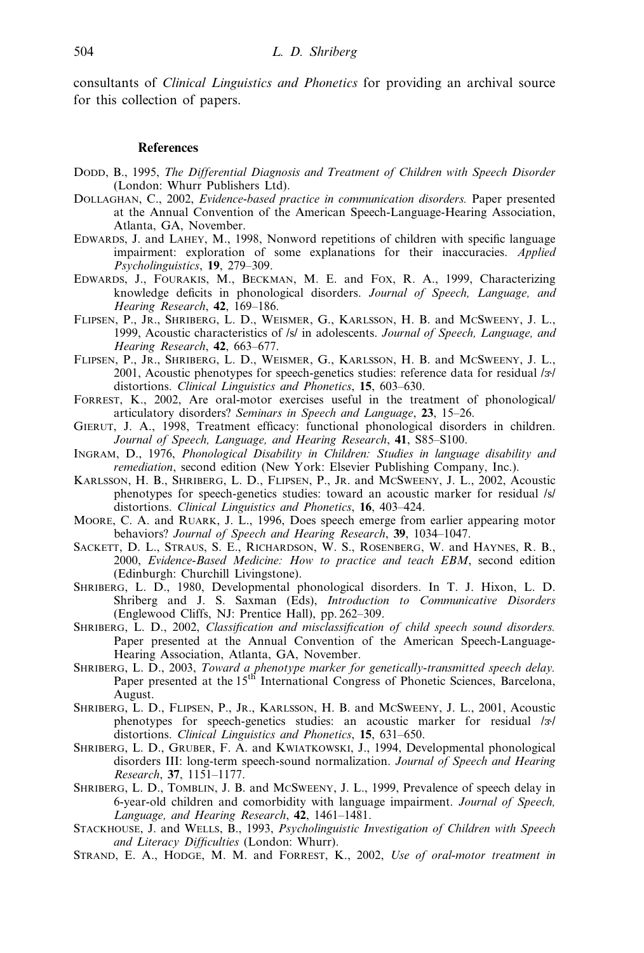consultants of Clinical Linguistics and Phonetics for providing an archival source for this collection of papers.

#### References

- DODD, B., 1995, The Differential Diagnosis and Treatment of Children with Speech Disorder (London: Whurr Publishers Ltd).
- DOLLAGHAN, C., 2002, Evidence-based practice in communication disorders. Paper presented at the Annual Convention of the American Speech-Language-Hearing Association, Atlanta, GA, November.
- EDWARDS, J. and LAHEY, M., 1998, Nonword repetitions of children with specific language impairment: exploration of some explanations for their inaccuracies. Applied Psycholinguistics, 19, 279–309.
- EDWARDS, J., FOURAKIS, M., BECKMAN, M. E. and FOX, R. A., 1999, Characterizing knowledge deficits in phonological disorders. Journal of Speech, Language, and Hearing Research, 42, 169-186.
- FLIPSEN, P., JR., SHRIBERG, L. D., WEISMER, G., KARLSSON, H. B. and MCSWEENY, J. L., 1999, Acoustic characteristics of /s/ in adolescents. Journal of Speech, Language, and Hearing Research, 42, 663–677.
- FLIPSEN, P., JR., SHRIBERG, L. D., WEISMER, G., KARLSSON, H. B. and MCSWEENY, J. L., 2001, Acoustic phenotypes for speech-genetics studies: reference data for residual  $\sqrt{s}$ / distortions. Clinical Linguistics and Phonetics, 15, 603–630.
- FORREST, K., 2002, Are oral-motor exercises useful in the treatment of phonological/ articulatory disorders? Seminars in Speech and Language, 23, 15–26.
- GIERUT, J. A., 1998, Treatment efficacy: functional phonological disorders in children. Journal of Speech, Language, and Hearing Research, 41, S85-S100.
- INGRAM, D., 1976, Phonological Disability in Children: Studies in language disability and remediation, second edition (New York: Elsevier Publishing Company, Inc.).
- KARLSSON, H. B., SHRIBERG, L. D., FLIPSEN, P., JR. and MCSWEENY, J. L., 2002, Acoustic phenotypes for speech-genetics studies: toward an acoustic marker for residual /s/ distortions. Clinical Linguistics and Phonetics, 16, 403–424.
- MOORE, C. A. and RUARK, J. L., 1996, Does speech emerge from earlier appearing motor behaviors? Journal of Speech and Hearing Research, 39, 1034-1047.
- SACKETT, D. L., STRAUS, S. E., RICHARDSON, W. S., ROSENBERG, W. and HAYNES, R. B., 2000, Evidence-Based Medicine: How to practice and teach EBM, second edition (Edinburgh: Churchill Livingstone).
- SHRIBERG, L. D., 1980, Developmental phonological disorders. In T. J. Hixon, L. D. Shriberg and J. S. Saxman (Eds), Introduction to Communicative Disorders (Englewood Cliffs, NJ: Prentice Hall), pp. 262–309.
- SHRIBERG, L. D., 2002, Classification and misclassification of child speech sound disorders. Paper presented at the Annual Convention of the American Speech-Language-Hearing Association, Atlanta, GA, November.
- SHRIBERG, L. D., 2003, *Toward a phenotype marker for genetically-transmitted speech delay.*<br>Paper presented at the 15<sup>th</sup> International Congress of Phonetic Sciences, Barcelona, August.
- SHRIBERG, L. D., FLIPSEN, P., JR., KARLSSON, H. B. and MCSWEENY, J. L., 2001, Acoustic phenotypes for speech-genetics studies: an acoustic marker for residual /3 $\sqrt{}$ distortions. Clinical Linguistics and Phonetics, 15, 631–650.
- SHRIBERG, L. D., GRUBER, F. A. and KWIATKOWSKI, J., 1994, Developmental phonological disorders III: long-term speech-sound normalization. Journal of Speech and Hearing Research, 37, 1151–1177.
- SHRIBERG, L. D., TOMBLIN, J. B. and MCSWEENY, J. L., 1999, Prevalence of speech delay in 6-year-old children and comorbidity with language impairment. Journal of Speech, Language, and Hearing Research, 42, 1461–1481.
- STACKHOUSE, J. and WELLS, B., 1993, Psycholinguistic Investigation of Children with Speech and Literacy Difficulties (London: Whurr).
- STRAND, E. A., HODGE, M. M. and FORREST, K., 2002, Use of oral-motor treatment in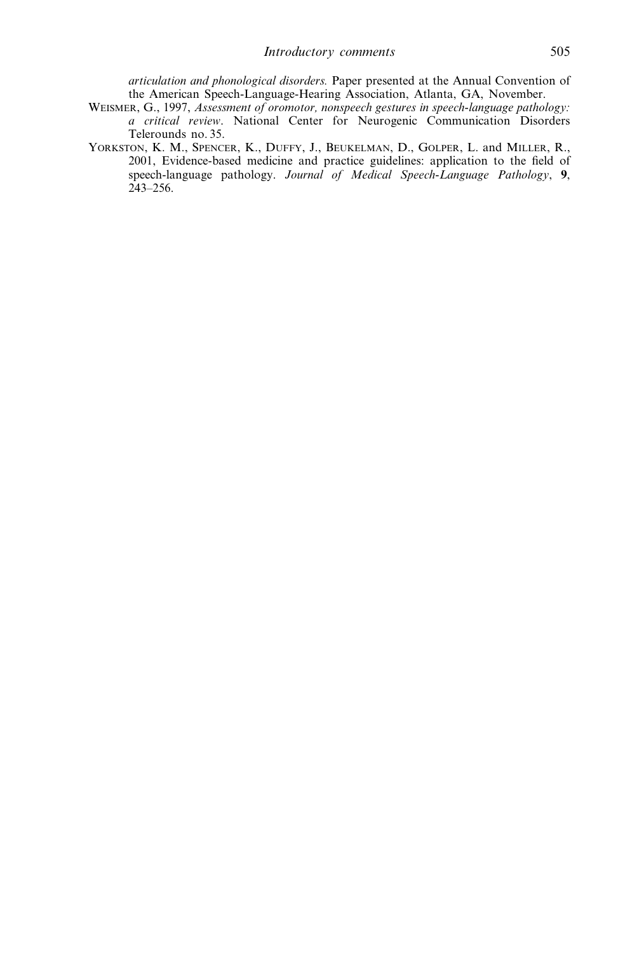articulation and phonological disorders. Paper presented at the Annual Convention of the American Speech-Language-Hearing Association, Atlanta, GA, November.

- WEISMER, G., 1997, Assessment of oromotor, nonspeech gestures in speech-language pathology: a critical review. National Center for Neurogenic Communication Disorders Telerounds no. 35.
- YORKSTON, K. M., SPENCER, K., DUFFY, J., BEUKELMAN, D., GOLPER, L. and MILLER, R., 2001, Evidence-based medicine and practice guidelines: application to the field of speech-language pathology. Journal of Medical Speech-Language Pathology, 9, 243–256.